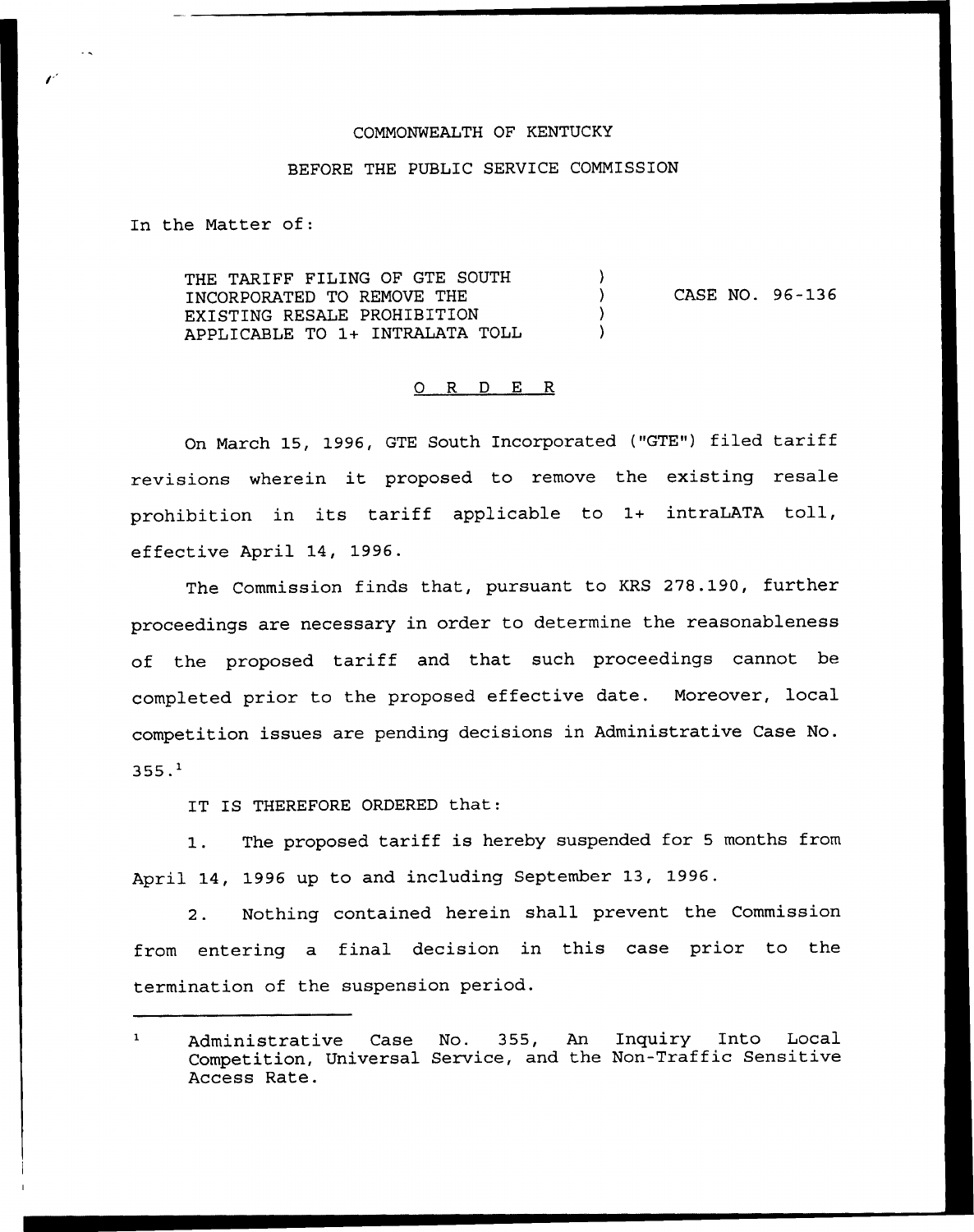### COMMONWEALTH OF KENTUCKY

### BEFORE THE PUBLIC SERVICE COMMISSION

In the Matter of:

THE TARIFF FILING OF GTE SOUTH  $\lambda$ CASE NO. 96-136  $\lambda$ INCORPORATED TO REMOVE THE EXISTING RESALE PROHIBITION APPLICABLE TO 1+ INTRALATA TOLL

## 0 R <sup>D</sup> E R

On March 15, 1996, GTE South Incorporated ("GTE") filed tariff revisions wherein it proposed to remove the existing resale prohibition in its tariff applicable to 1+ intraLATA toll, effective April 14, 1996.

The Commission finds that, pursuant to KRS 278.190, further proceedings are necessary in order to determine the reasonableness of the proposed tariff and that such proceedings cannot be completed prior to the proposed effective date. Moreover, local competition issues are pending decisions in Administrative Case No.  $355.1$ 

IT IS THEREFORE ORDERED that:

1. The proposed tariff is hereby suspended for <sup>5</sup> months from April 14, 1996 up to and including September 13, 1996.

2. Nothing contained herein shall prevent the Commission from entering a final decision in this case prior to the termination of the suspension period.

Administrative Case No. 355, An Inquiry Into Local Competition, Universal Service, and the Non-Traffic Sensitive Access Rate.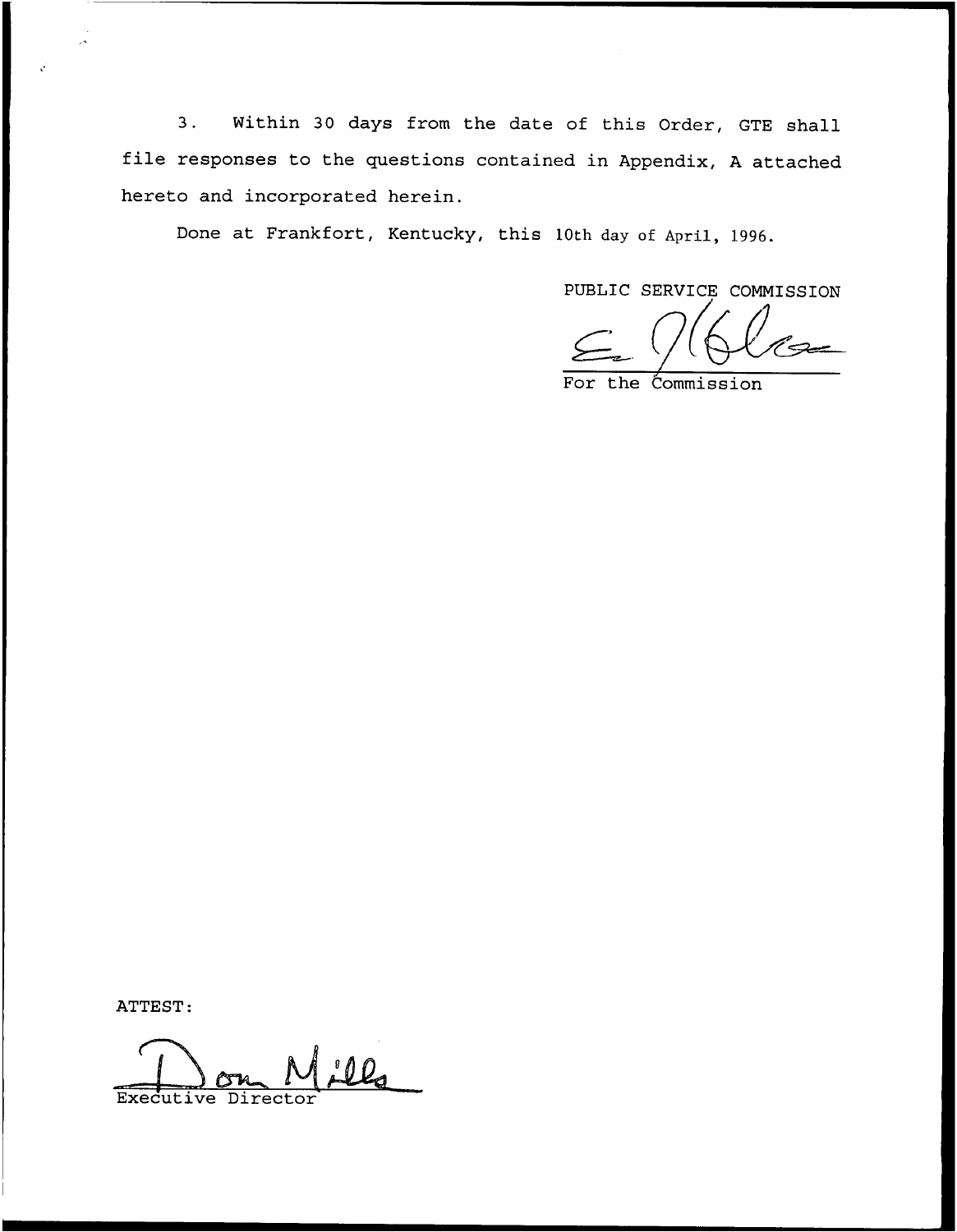3. Within <sup>30</sup> days from the date of this Order, GTE shall file responses to the questions contained in Appendix, <sup>A</sup> attached hereto and incorporated herein.

Done at Frankfort, Kentucky, this 10th day of April, 1996.

PUBLIC SERVICE CONNISSION

For the Commission

ATTEST:

<u>ill</u> Executive Director